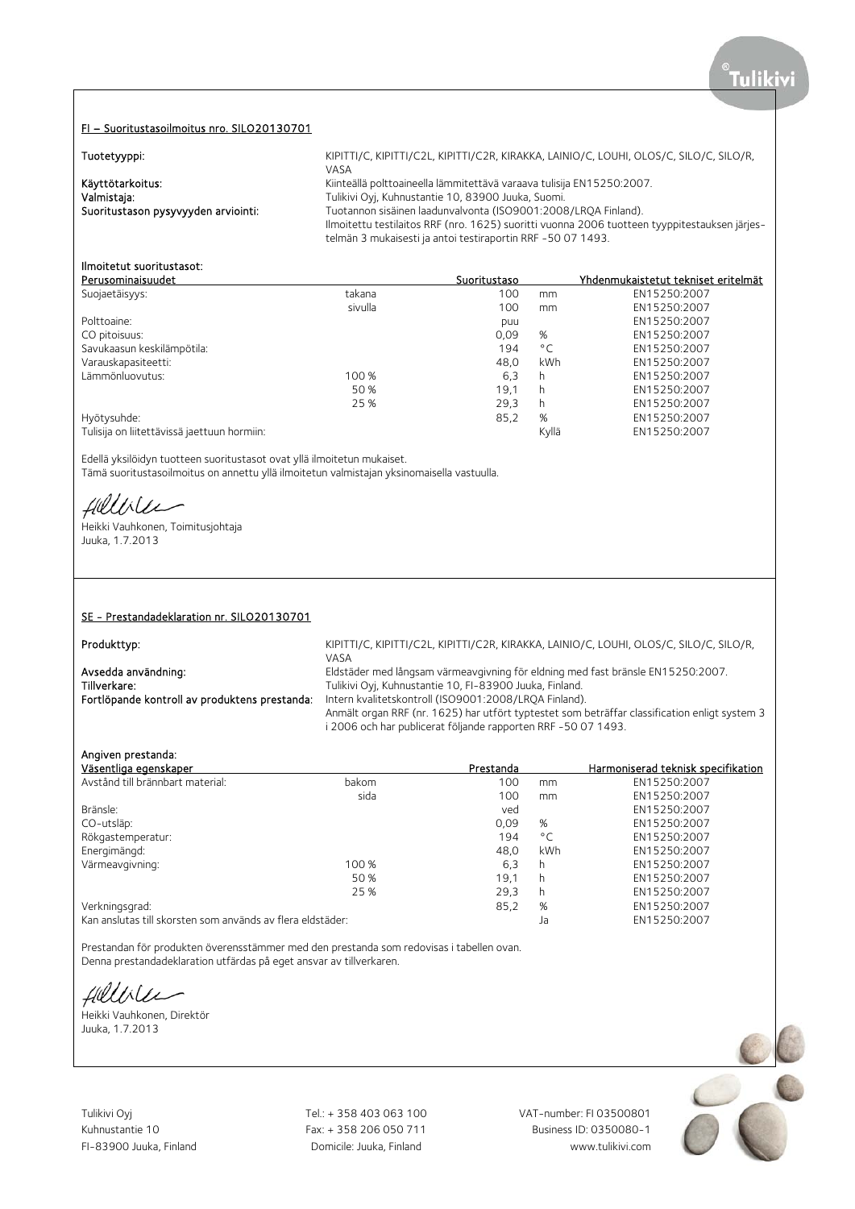### FI – Suoritustasoilmoitus nro. SILO20130701

| Tuotetyyppi:                        | KIPITTI/C, KIPITTI/C2L, KIPITTI/C2R, KIRAKKA, LAINIO/C, LOUHI, OLOS/C, SILO/C, SILO/R,                                                                       |
|-------------------------------------|--------------------------------------------------------------------------------------------------------------------------------------------------------------|
|                                     | VASA                                                                                                                                                         |
| Käyttötarkoitus:                    | Kiinteällä polttoaineella lämmitettävä varaava tulisija EN15250:2007.                                                                                        |
| Valmistaja:                         | Tulikivi Oyi, Kuhnustantie 10, 83900 Juuka, Suomi.                                                                                                           |
| Suoritustason pysyvyyden arviointi: | Tuotannon sisäinen laadunvalvonta (ISO9001:2008/LROA Finland).                                                                                               |
|                                     | Ilmoitettu testilaitos RRF (nro. 1625) suoritti vuonna 2006 tuotteen tyyppitestauksen järjes-<br>telmän 3 mukaisesti ja antoi testiraportin RRF -50 07 1493. |

### Ilmoitetut suoritustasot:

| Perusominaisuudet                           |         | Suoritustaso |              | Yhdenmukaistetut tekniset eritelmät |
|---------------------------------------------|---------|--------------|--------------|-------------------------------------|
| Suojaetäisyys:                              | takana  | 100          | mm           | EN15250:2007                        |
|                                             | sivulla | 100          | mm           | EN15250:2007                        |
| Polttoaine:                                 |         | puu          |              | EN15250:2007                        |
| CO pitoisuus:                               |         | 0,09         | %            | EN15250:2007                        |
| Savukaasun keskilämpötila:                  |         | 194          | $^{\circ}$ C | EN15250:2007                        |
| Varauskapasiteetti:                         |         | 48.0         | kWh          | EN15250:2007                        |
| Lämmönluovutus:                             | 100 %   | 6,3          | h            | EN15250:2007                        |
|                                             | 50 %    | 19,1         | h            | EN15250:2007                        |
|                                             | 25 %    | 29.3         | h            | EN15250:2007                        |
| Hyötysuhde:                                 |         | 85,2         | %            | EN15250:2007                        |
| Tulisija on liitettävissä jaettuun hormiin: |         |              | Kvllä        | EN15250:2007                        |

Edellä yksilöidyn tuotteen suoritustasot ovat yllä ilmoitetun mukaiset. Tämä suoritustasoilmoitus on annettu yllä ilmoitetun valmistajan yksinomaisella vastuulla.

fillble

Heikki Vauhkonen, Toimitusjohtaja Juuka, 1.7.2013

### SE - Prestandadeklaration nr. SILO20130701

Fortlöpande kontroll av produktens prestanda: Intern kvalitetskontroll (ISO9001:2008/LRQA Finland).

Produkttyp: EXAMORTHY C, KIPITTI/C, KIPITTI/C2L, KIPITTI/C2R, KIRAKKA, LAINIO/C, LOUHI, OLOS/C, SILO/C, SILO/R, VASA Avsedda användning: Eldstäder med långsam värmeavgivning för eldning med fast bränsle EN15250:2007.<br>Tillverkare: Tillverkare: Tulikivi Ovi. Kuhnustantie 10. FI-83900 Juuka. Finland. Tulikivi Ovi, Kuhnustantie 10, FI-83900 Juuka, Finland.

Anmält organ RRF (nr. 1625) har utfört typtestet som beträffar classification enligt system 3 i 2006 och har publicerat följande rapporten RRF -50 07 1493.

### Angiven prestanda:

| Väsentliga egenskaper                                      |       | Prestanda |              | Harmoniserad teknisk specifikation |
|------------------------------------------------------------|-------|-----------|--------------|------------------------------------|
| Avstånd till brännbart material:                           | bakom | 100       | mm           | EN15250:2007                       |
|                                                            | sida  | 100       | mm           | EN15250:2007                       |
| Bränsle:                                                   |       | ved       |              | EN15250:2007                       |
| CO-utsläp:                                                 |       | 0,09      | %            | EN15250:2007                       |
| Rökgastemperatur:                                          |       | 194       | $^{\circ}$ C | EN15250:2007                       |
| Energimängd:                                               |       | 48.0      | kWh          | EN15250:2007                       |
| Värmeavgivning:                                            | 100 % | 6,3       | h            | EN15250:2007                       |
|                                                            | 50 %  | 19.1      | h            | EN15250:2007                       |
|                                                            | 25 %  | 29,3      | h            | EN15250:2007                       |
| Verkningsgrad:                                             |       | 85,2      | %            | EN15250:2007                       |
| Kan anslutas till skorsten som används av flera eldstäder: |       |           | Ja           | EN15250:2007                       |

Prestandan för produkten överensstämmer med den prestanda som redovisas i tabellen ovan. Denna prestandadeklaration utfärdas på eget ansvar av tillverkaren.

fillisler

Heikki Vauhkonen, Direktör Juuka, 1.7.2013

Tulikivi Oyj Tel.: + 358 403 063 100 VAT-number: FI 03500801

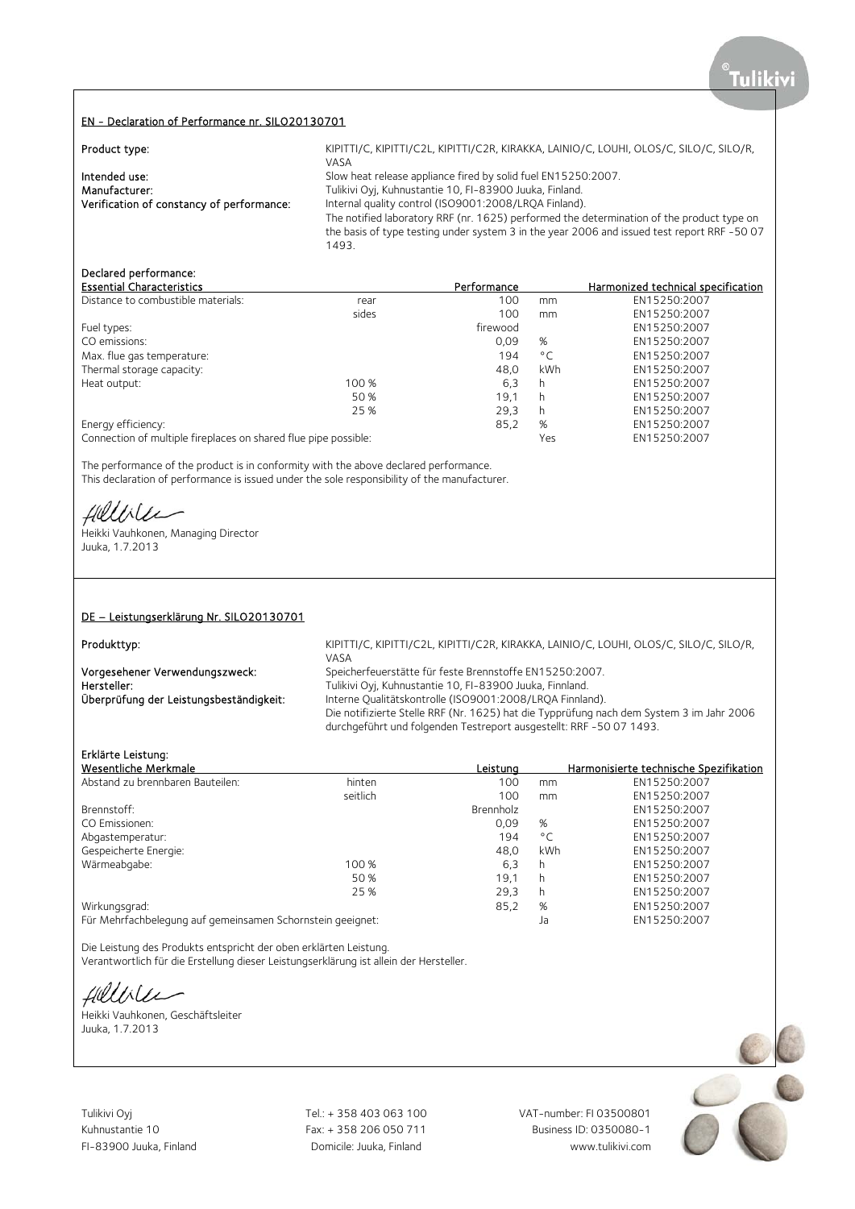### EN - Declaration of Performance nr. SILO20130701

| Product type:                             | KIPITTI/C, KIPITTI/C2L, KIPITTI/C2R, KIRAKKA, LAINIO/C, LOUHI, OLOS/C, SILO/C, SILO/R,<br>VASA |
|-------------------------------------------|------------------------------------------------------------------------------------------------|
| Intended use:                             | Slow heat release appliance fired by solid fuel EN15250:2007.                                  |
| Manufacturer:                             | Tulikivi Oyj, Kuhnustantie 10, FI-83900 Juuka, Finland.                                        |
| Verification of constancy of performance: | Internal quality control (ISO9001:2008/LROA Finland).                                          |
|                                           | The notified laboratory RRF (nr. 1625) performed the determination of the product type on      |
|                                           | the basis of type testing under system 3 in the year 2006 and issued test report RRF -50 07    |
|                                           | 1493.                                                                                          |

# Declared performance:

| <b>Essential Characteristics</b>                                |       | Performance |              | Harmonized technical specification |
|-----------------------------------------------------------------|-------|-------------|--------------|------------------------------------|
| Distance to combustible materials:                              | rear  | 100         | mm           | EN15250:2007                       |
|                                                                 | sides | 100         | mm           | EN15250:2007                       |
| Fuel types:                                                     |       | firewood    |              | EN15250:2007                       |
| CO emissions:                                                   |       | 0,09        | %            | EN15250:2007                       |
| Max. flue gas temperature:                                      |       | 194         | $^{\circ}$ C | EN15250:2007                       |
| Thermal storage capacity:                                       |       | 48.0        | kWh          | EN15250:2007                       |
| Heat output:                                                    | 100 % | 6,3         | h            | EN15250:2007                       |
|                                                                 | 50 %  | 19.1        | h            | EN15250:2007                       |
|                                                                 | 25 %  | 29,3        | h            | EN15250:2007                       |
| Energy efficiency:                                              |       | 85,2        | %            | EN15250:2007                       |
| Connection of multiple fireplaces on shared flue pipe possible: |       |             | Yes          | EN15250:2007                       |

The performance of the product is in conformity with the above declared performance. This declaration of performance is issued under the sole responsibility of the manufacturer.

Helliler

Heikki Vauhkonen, Managing Director Juuka, 1.7.2013

### DE – Leistungserklärung Nr. SILO20130701

Produkttyp: EXAMORTHY C, KIPITTI/C, KIPITTI/C2L, KIPITTI/C2R, KIRAKKA, LAINIO/C, LOUHI, OLOS/C, SILO/C, SILO/R, VASA Vorgesehener Verwendungszweck: Speicherfeuerstätte für feste Brennstoffe EN15250:2007.<br>Tulikivi Ovi. Kuhnustantie 10. Fl-83900 Juuka. Finnland. Hersteller: Tulikivi Oyj, Kuhnustantie 10, FI-83900 Juuka, Finnland.<br>
Überprüfung der Leistungsbeständigkeit: Thterne Qualitätskontrolle (ISO9001:2008/LRQA Finnlar Interne Qualitätskontrolle (ISO9001:2008/LRQA Finnland). Die notifizierte Stelle RRF (Nr. 1625) hat die Typprüfung nach dem System 3 im Jahr 2006

durchgeführt und folgenden Testreport ausgestellt: RRF -50 07 1493.

# Erklärte Leistung:

| Wesentliche Merkmale                                       |          | Leistung  |              | Harmonisierte technische Spezifikation |
|------------------------------------------------------------|----------|-----------|--------------|----------------------------------------|
| Abstand zu brennbaren Bauteilen:                           | hinten   | 100       | mm           | EN15250:2007                           |
|                                                            | seitlich | 100       | mm           | EN15250:2007                           |
| Brennstoff:                                                |          | Brennholz |              | EN15250:2007                           |
| CO Emissionen:                                             |          | 0.09      | %            | EN15250:2007                           |
| Abgastemperatur:                                           |          | 194       | $^{\circ}$ C | EN15250:2007                           |
| Gespeicherte Energie:                                      |          | 48.0      | kWh          | EN15250:2007                           |
| Wärmeabgabe:                                               | 100 %    | 6,3       | h            | EN15250:2007                           |
|                                                            | 50 %     | 19.1      | h            | EN15250:2007                           |
|                                                            | 25 %     | 29.3      | h            | EN15250:2007                           |
| Wirkungsgrad:                                              |          | 85,2      | %            | EN15250:2007                           |
| Für Mehrfachbelegung auf gemeinsamen Schornstein geeignet: |          |           | Ja           | EN15250:2007                           |

Die Leistung des Produkts entspricht der oben erklärten Leistung. Verantwortlich für die Erstellung dieser Leistungserklärung ist allein der Hersteller.

Hellile

Heikki Vauhkonen, Geschäftsleiter Juuka, 1.7.2013



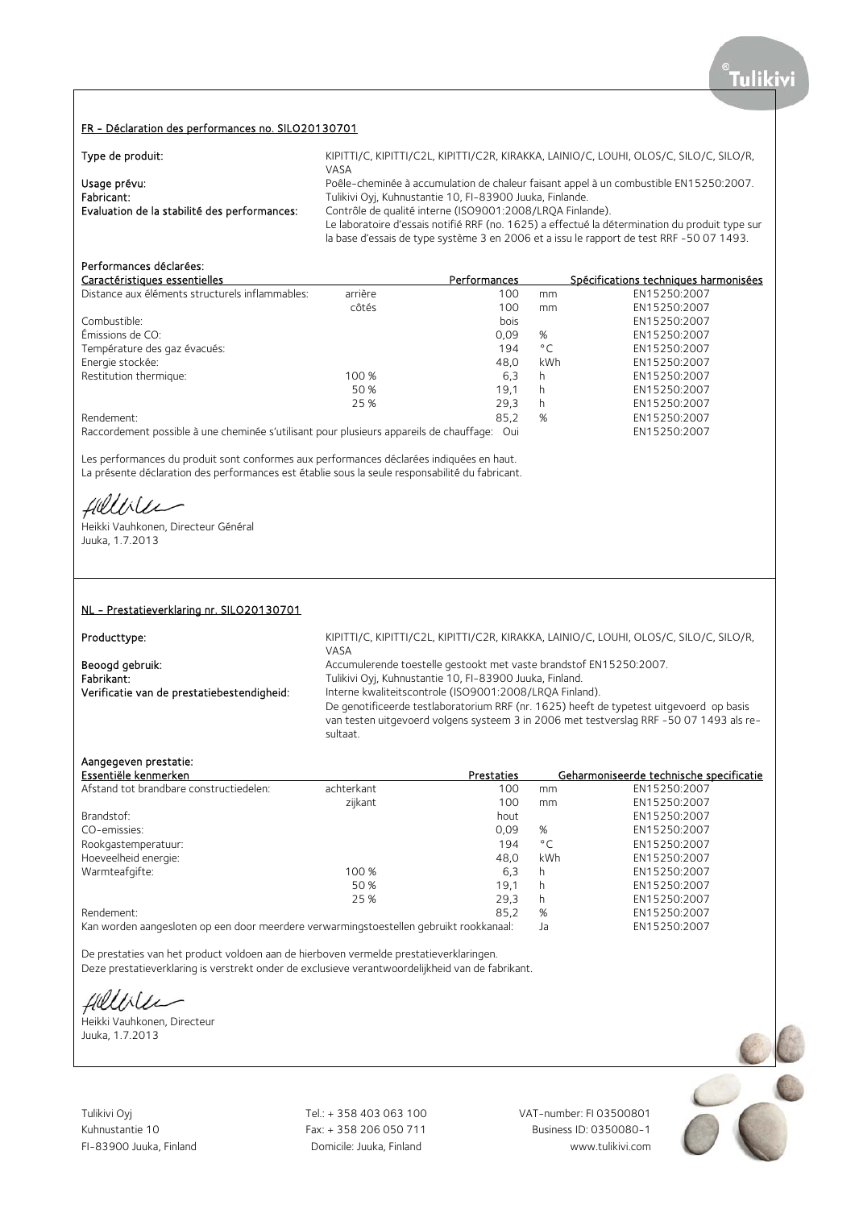### FR - Déclaration des performances no. SILO20130701

| Type de produit:                             | KIPITTI/C, KIPITTI/C2L, KIPITTI/C2R, KIRAKKA, LAINIO/C, LOUHI, OLOS/C, SILO/C, SILO/R,         |
|----------------------------------------------|------------------------------------------------------------------------------------------------|
|                                              | VASA                                                                                           |
| Usage prévu:                                 | Poêle-cheminée à accumulation de chaleur faisant appel à un combustible EN15250:2007.          |
| Fabricant:                                   | Tulikivi Oyj, Kuhnustantie 10, FI-83900 Juuka, Finlande.                                       |
| Evaluation de la stabilité des performances: | Contrôle de qualité interne (ISO9001:2008/LROA Finlande).                                      |
|                                              | Le laboratoire d'essais notifié RRF (no. 1625) a effectué la détermination du produit type sur |
|                                              | la base d'essais de type système 3 en 2006 et a issu le rapport de test RRF -50 07 1493.       |

# Performances déclarées:

| Caractéristiques essentielles                   |         | Performances |              | Spécifications techniques harmonisées |
|-------------------------------------------------|---------|--------------|--------------|---------------------------------------|
| Distance aux éléments structurels inflammables: | arrière | 100          | mm           | EN15250:2007                          |
|                                                 | côtés   | 100          | mm           | EN15250:2007                          |
| Combustible:                                    |         | bois         |              | EN15250:2007                          |
| Émissions de CO:                                |         | 0.09         | %            | EN15250:2007                          |
| Température des gaz évacués:                    |         | 194          | $^{\circ}$ C | EN15250:2007                          |
| Energie stockée:                                |         | 48.0         | kWh          | EN15250:2007                          |
| Restitution thermique:                          | 100 %   | 6.3          | h            | EN15250:2007                          |
|                                                 | 50 %    | 19.1         | h            | EN15250:2007                          |
|                                                 | 25 %    | 29.3         | h            | EN15250:2007                          |
| Rendement:                                      |         | 85,2         | %            | EN15250:2007                          |
|                                                 |         |              |              |                                       |

Raccordement possible à une cheminée s'utilisant pour plusieurs appareils de chauffage: Oui EN15250:2007

Les performances du produit sont conformes aux performances déclarées indiquées en haut. La présente déclaration des performances est établie sous la seule responsabilité du fabricant.

fillise

Heikki Vauhkonen, Directeur Général Juuka, 1.7.2013

### NL - Prestatieverklaring nr. SILO20130701

Producttype:

Beoogd gebruik: <br>Accumulerende toestelle gestookt met vaste brandstof EN15250:2007.<br>Fabrikant: Tulikivi Ovi. Kuhnustantie 10. FI-83900 Juuka. Finland. Fabrikant: Tulikivi Oyj, Kuhnustantie 10, FI-83900 Juuka, Finland.<br>1. Tulikivi Oyj, Kuhnustantie 10, FI-83900 Juuka, Finland. Verificatie van de prestatiebestendigheid: Interne

KIPITTI/C, KIPITTI/C2L, KIPITTI/C2R, KIRAKKA, LAINIO/C, LOUHI, OLOS/C, SILO/C, SILO/R,  $V\Delta S\Delta$ 

Interne kwaliteitscontrole (ISO9001:2008/LRQA Finland).

De genotificeerde testlaboratorium RRF (nr. 1625) heeft de typetest uitgevoerd op basis van testen uitgevoerd volgens systeem 3 in 2006 met testverslag RRF -50 07 1493 als resultaat.

### Aangegeven prestatie:

| Essentiële kenmerken                    |            | Prestaties |              | Geharmoniseerde technische specificatie |
|-----------------------------------------|------------|------------|--------------|-----------------------------------------|
| Afstand tot brandbare constructiedelen: | achterkant | 100        | mm           | EN15250:2007                            |
|                                         | zijkant    | 100        | mm           | EN15250:2007                            |
| Brandstof:                              |            | hout       |              | EN15250:2007                            |
| CO-emissies:                            |            | 0.09       | %            | EN15250:2007                            |
| Rookgastemperatuur:                     |            | 194        | $^{\circ}$ C | EN15250:2007                            |
| Hoeveelheid energie:                    |            | 48.0       | kWh          | EN15250:2007                            |
| Warmteafgifte:                          | 100 %      | 6.3        | h            | EN15250:2007                            |
|                                         | 50 %       | 19.1       | h            | EN15250:2007                            |
|                                         | 25 %       | 29,3       | h            | EN15250:2007                            |
| Rendement:                              |            | 85,2       | %            | EN15250:2007                            |
|                                         |            |            |              |                                         |

Kan worden aangesloten op een door meerdere verwarmingstoestellen gebruikt rookkanaal: Ja EN15250:2007

De prestaties van het product voldoen aan de hierboven vermelde prestatieverklaringen. Deze prestatieverklaring is verstrekt onder de exclusieve verantwoordelijkheid van de fabrikant.

Hillble

Heikki Vauhkonen, Directeur Juuka, 1.7.2013

Tulikivi Oyj Tel.: + 358 403 063 100 VAT-number: FI 03500801

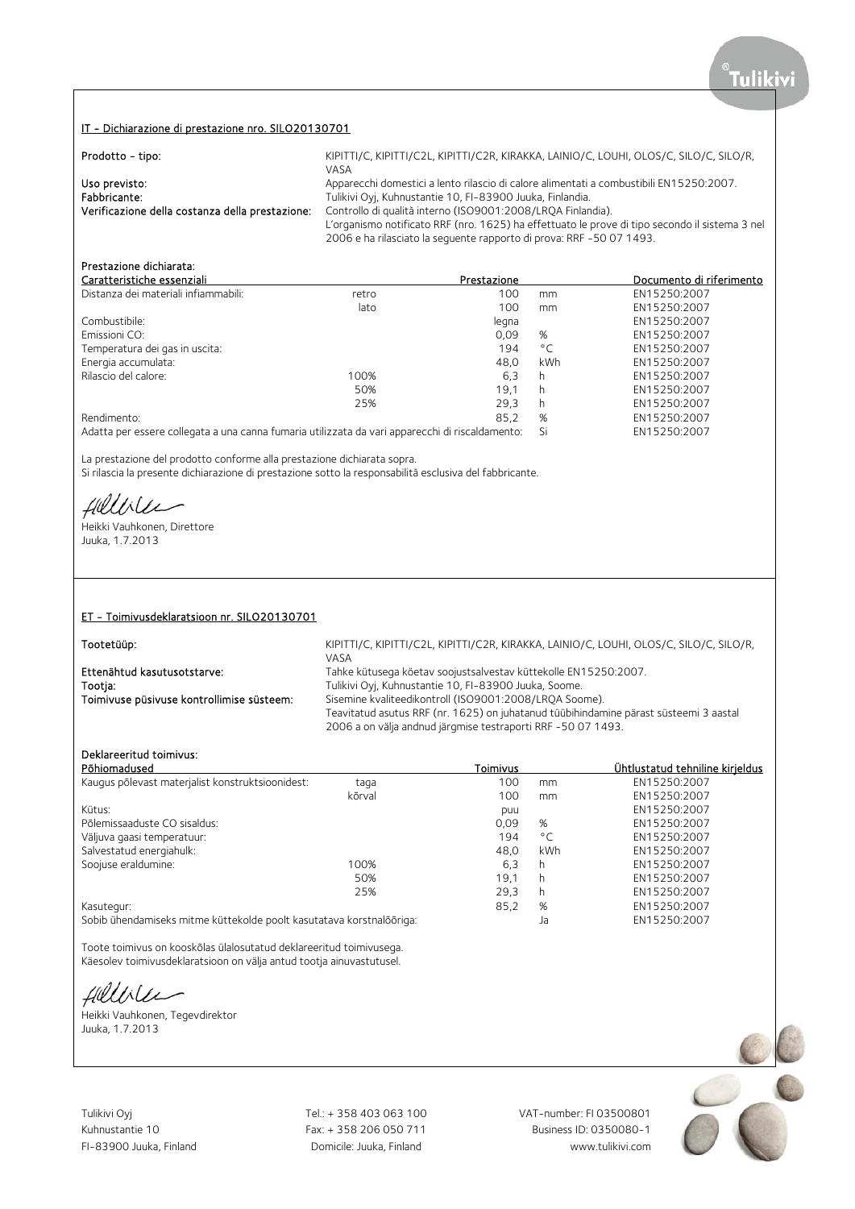### IT - Dichiarazione di prestazione nro. SILO20130701

| Prodotto - tipo:                                | KIPITTI/C, KIPITTI/C2L, KIPITTI/C2R, KIRAKKA, LAINIO/C, LOUHI, OLOS/C, SILO/C, SILO/R,<br>VASA |
|-------------------------------------------------|------------------------------------------------------------------------------------------------|
| Uso previsto:                                   | Apparecchi domestici a lento rilascio di calore alimentati a combustibili EN15250:2007.        |
| Fabbricante:                                    | Tulikivi Oyj, Kuhnustantie 10, FI-83900 Juuka, Finlandia.                                      |
| Verificazione della costanza della prestazione: | Controllo di qualità interno (ISO9001:2008/LROA Finlandia).                                    |
|                                                 | L'organismo notificato RRF (nro. 1625) ha effettuato le prove di tipo secondo il sistema 3 nel |
|                                                 | 2006 e ha rilasciato la sequente rapporto di prova: RRF -50 07 1493.                           |

# Prestazione dichiarata:

| Caratteristiche essenziali                                                                      |       | Prestazione |              | Documento di riferimento |
|-------------------------------------------------------------------------------------------------|-------|-------------|--------------|--------------------------|
| Distanza dei materiali infiammabili:                                                            | retro | 100         | mm           | EN15250:2007             |
|                                                                                                 | lato  | 100         | mm           | EN15250:2007             |
| Combustibile:                                                                                   |       | legna       |              | EN15250:2007             |
| Emissioni CO:                                                                                   |       | 0.09        | %            | EN15250:2007             |
| Temperatura dei gas in uscita:                                                                  |       | 194         | $^{\circ}$ C | EN15250:2007             |
| Energia accumulata:                                                                             |       | 48.0        | kWh          | EN15250:2007             |
| Rilascio del calore:                                                                            | 100%  | 6,3         | h            | EN15250:2007             |
|                                                                                                 | 50%   | 19.1        | h            | EN15250:2007             |
|                                                                                                 | 25%   | 29.3        | h            | EN15250:2007             |
| Rendimento:                                                                                     |       | 85.2        | %            | EN15250:2007             |
| Adatta per essere collegata a una canna fumaria utilizzata da vari apparecchi di riscaldamento: |       |             | Si           | EN15250:2007             |

La prestazione del prodotto conforme alla prestazione dichiarata sopra. Si rilascia la presente dichiarazione di prestazione sotto la responsabilità esclusiva del fabbricante.

fillile

Heikki Vauhkonen, Direttore Juuka, 1.7.2013

### ET - Toimivusdeklaratsioon nr. SILO20130701

Tootetüüp: KIPITTI/C, KIPITTI/C2L, KIPITTI/C2L, KIRITTI/C2R, KIRAKKA, LAINIO/C, LOUHI, OLOS/C, SILO/C, SILO/R, VASA Ettenähtud kasutusotstarve: Tahke kütusega köetav soojustsalvestav küttekolle EN15250:2007.<br>Tootia: Tulikivi Ovi. Kuhnustantie 10. FI-83900 Juuka. Soome. Tootja: Tulikivi Oyj, Kuhnustantie 10, FI-83900 Juuka, Soome. Sisemine kvaliteedikontroll (ISO9001:2008/LRQA Soome).

Teavitatud asutus RRF (nr. 1625) on juhatanud tüübihindamine pärast süsteemi 3 aastal 2006 a on välja andnud järgmise testraporti RRF -50 07 1493.

# Deklareeritud toimivus:

| Põhiomadused                                                         |        | Toimivus |                          | Ühtlustatud tehniline kirjeldus |
|----------------------------------------------------------------------|--------|----------|--------------------------|---------------------------------|
| Kaugus põlevast materjalist konstruktsioonidest:                     | taga   | 100      | mm                       | EN15250:2007                    |
|                                                                      | kõrval | 100      | mm                       | EN15250:2007                    |
| Kütus:                                                               |        | puu      |                          | EN15250:2007                    |
| Põlemissaaduste CO sisaldus:                                         |        | 0.09     | %                        | EN15250:2007                    |
| Väljuva gaasi temperatuur:                                           |        | 194      | $^{\circ}$ C             | EN15250:2007                    |
| Salvestatud energiahulk:                                             |        | 48.0     | kWh                      | EN15250:2007                    |
| Soojuse eraldumine:                                                  | 100%   | 6.3      | h                        | EN15250:2007                    |
|                                                                      | 50%    | 19.1     | h                        | EN15250:2007                    |
|                                                                      | 25%    | 29.3     | h                        | EN15250:2007                    |
| Kasutegur:                                                           |        | 85,2     | %                        | EN15250:2007                    |
| Sobih übendamiseks mitme küttekelde neelt kasutatava kerstpalõõriga: |        |          | $\overline{\phantom{a}}$ | EN15250.2007                    |

Sobib ühendamiseks mitme küttekolde poolt kasutatava korstnalõõriga: Ja EN15250:2007

Toote toimivus on kooskõlas ülalosutatud deklareeritud toimivusega. Käesolev toimivusdeklaratsioon on välja antud tootja ainuvastutusel.

fillble

Heikki Vauhkonen, Tegevdirektor Juuka, 1.7.2013

Tulikivi Oyj Tel.: + 358 403 063 100 VAT-number: FI 03500801

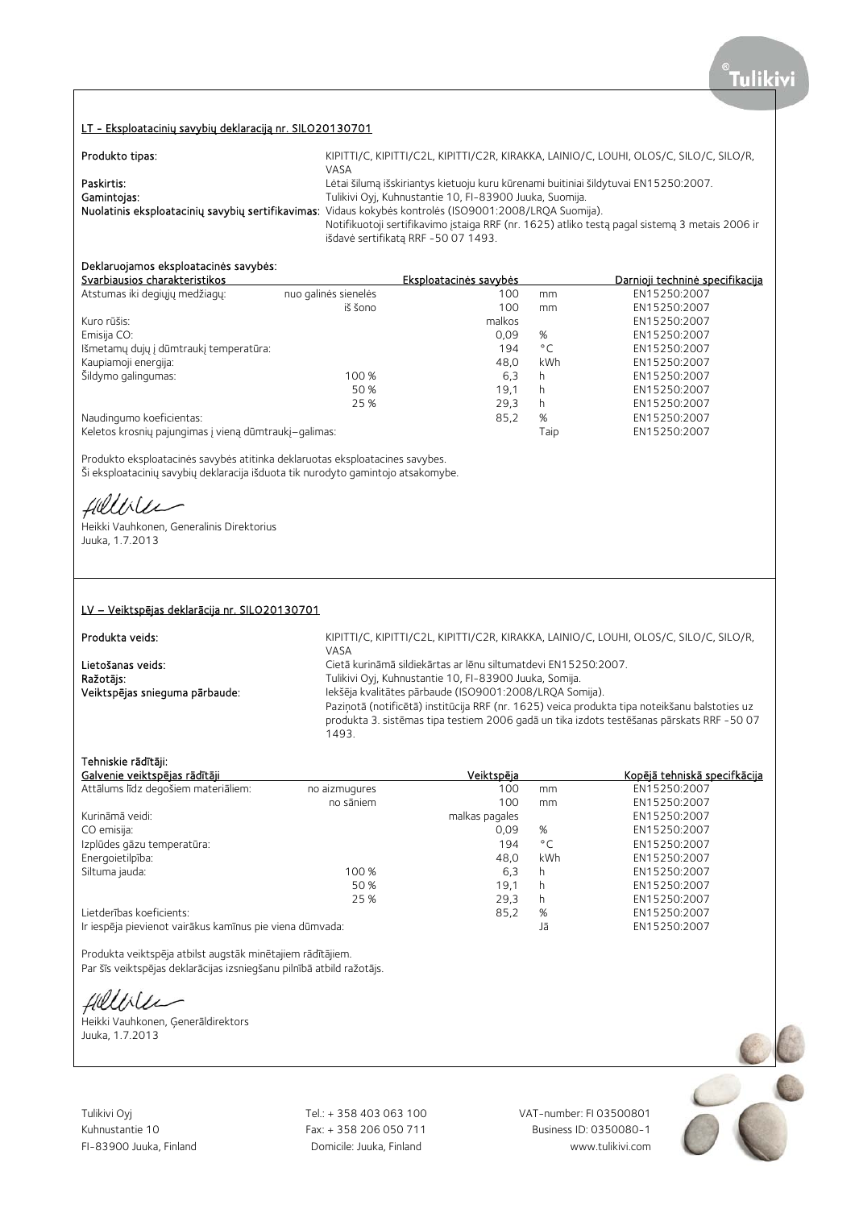### LT - Eksploatacinių savybių deklaraciją nr. SILO20130701

| Produkto tipas: | KIPITTI/C, KIPITTI/C2L, KIPITTI/C2R, KIRAKKA, LAINIO/C, LOUHI, OLOS/C, SILO/C, SILO/R,                  |
|-----------------|---------------------------------------------------------------------------------------------------------|
|                 | VASA                                                                                                    |
| Paskirtis:      | Lėtai šilumą išskiriantys kietuoju kuru kūrenami buitiniai šildytuvai EN15250:2007.                     |
| Gamintojas:     | Tulikivi Oyj, Kuhnustantie 10, FI-83900 Juuka, Suomija.                                                 |
|                 | Nuolatinis eksploatacinių savybių sertifikavimas: Vidaus kokybės kontrolės (ISO9001:2008/LRQA Suomija). |
|                 | Notifikuotoji sertifikavimo įstaiga RRF (nr. 1625) atliko testą pagal sistemą 3 metais 2006 ir          |
|                 | išdavė sertifikata RRF -50 07 1493.                                                                     |

# Deklaruojamos eksploatacinės savybės:

| Svarbiausios charakteristikos                         |                      | Eksploatacinės savybės |              | Darnioji techninė specifikacija |
|-------------------------------------------------------|----------------------|------------------------|--------------|---------------------------------|
| Atstumas iki degiųjų medžiagų:                        | nuo galinės sienelės | 100                    | mm           | EN15250:2007                    |
|                                                       | iš šono              | 100                    | mm           | EN15250:2007                    |
| Kuro rūšis:                                           |                      | malkos                 |              | EN15250:2007                    |
| Emisija CO:                                           |                      | 0.09                   | %            | EN15250:2007                    |
| Išmetamų dujų į dūmtraukį temperatūra:                |                      | 194                    | $^{\circ}$ C | EN15250:2007                    |
| Kaupiamoji energija:                                  |                      | 48.0                   | kWh          | EN15250:2007                    |
| Šildymo galingumas:                                   | 100 %                | 6,3                    | h            | EN15250:2007                    |
|                                                       | 50 %                 | 19.1                   | h            | EN15250:2007                    |
|                                                       | 25 %                 | 29.3                   | h            | EN15250:2007                    |
| Naudingumo koeficientas:                              |                      | 85,2                   | %            | EN15250:2007                    |
| Keletos krosnių pajungimas į vieną dūmtraukį-galimas: |                      |                        | Taip         | EN15250:2007                    |

Produkto eksploatacinės savybės atitinka deklaruotas eksploatacines savybes. Ši eksploatacinių savybių deklaracija išduota tik nurodyto gamintojo atsakomybe.

fillise

Heikki Vauhkonen, Generalinis Direktorius Juuka, 1.7.2013

### LV – Veiktspējas deklarācija nr. SILO20130701

Produkta veids: KIPITTI/C, KIPITTI/C2L, KIPITTI/C2R, KIRAKKA, LAINIO/C, LOUHI, OLOS/C, SILO/C, SILO/R,  $V\Delta S\Delta$ Lietošanas veids: Cietā kurināmā sildiekārtas ar lēnu siltumatdevi EN15250:2007. Ražotājs: versions antistantie 10, FI-83900 Juuka, Somija. Veiktspējas snieguma pārbaude: Iekšēja kvalitātes pārbaude (ISO9001:2008/LRQA Somija). Paziņotā (notificētā) institūcija RRF (nr. 1625) veica produkta tipa noteikšanu balstoties uz produkta 3. sistēmas tipa testiem 2006 gadā un tika izdots testēšanas pārskats RRF -50 07 1493.

### Tehniskie rādītāji:

| Galvenie veiktspējas rādītāji                            |               | Veiktspēja     |              | Kopējā tehniskā specifkācija |
|----------------------------------------------------------|---------------|----------------|--------------|------------------------------|
| Attālums līdz degošiem materiāliem:                      | no aizmugures | 100            | mm           | EN15250:2007                 |
|                                                          | no sāniem     | 100            | mm           | EN15250:2007                 |
| Kurināmā veidi:                                          |               | malkas pagales |              | EN15250:2007                 |
| CO emisija:                                              |               | 0.09           | %            | EN15250:2007                 |
| Izplūdes gāzu temperatūra:                               |               | 194            | $^{\circ}$ C | EN15250:2007                 |
| Energoietilpība:                                         |               | 48.0           | kWh          | EN15250:2007                 |
| Siltuma jauda:                                           | 100 %         | 6,3            | h            | EN15250:2007                 |
|                                                          | 50 %          | 19.1           | h            | EN15250:2007                 |
|                                                          | 25 %          | 29.3           | h            | EN15250:2007                 |
| Lietderības koeficients:                                 |               | 85,2           | %            | EN15250:2007                 |
| Ir iespēja pievienot vairākus kamīnus pie viena dūmvada: |               |                | Jā           | EN15250:2007                 |

Produkta veiktspēja atbilst augstāk minētajiem rādītājiem. Par šīs veiktspējas deklarācijas izsniegšanu pilnībā atbild ražotājs.

Hillbler

Heikki Vauhkonen, Ģenerāldirektors Juuka, 1.7.2013

Tulikivi Oyj Tel.: + 358 403 063 100 VAT-number: FI 03500801

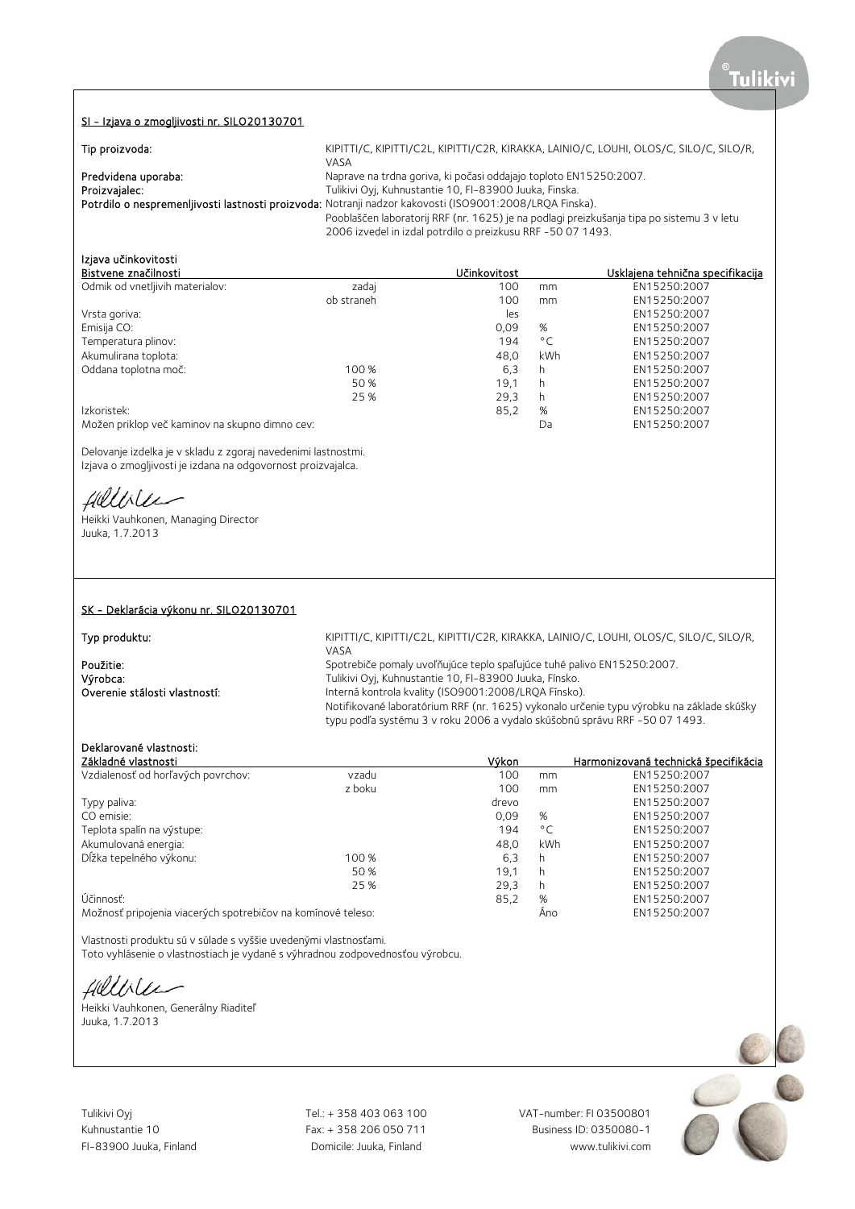### SI - Izjava o zmogljivosti nr. SILO20130701

| Tip proizvoda:      | KIPITTI/C, KIPITTI/C2L, KIPITTI/C2R, KIRAKKA, LAINIO/C, LOUHI, OLOS/C, SILO/C, SILO/R,                  |
|---------------------|---------------------------------------------------------------------------------------------------------|
|                     | VASA                                                                                                    |
| Predvidena uporaba: | Naprave na trdna goriva, ki počasi oddajajo toploto EN15250:2007.                                       |
| Proizvajalec:       | Tulikivi Oyj, Kuhnustantie 10, FI-83900 Juuka, Finska.                                                  |
|                     | Potrdilo o nespremenljivosti lastnosti proizvoda: Notranji nadzor kakovosti (ISO9001:2008/LRQA Finska). |
|                     | Pooblaščen laboratorij RRF (nr. 1625) je na podlagi preizkušanja tipa po sistemu 3 v letu               |
|                     | 2006 izvedel in izdal potrdilo o preizkusu RRF -50 07 1493.                                             |

# Izjava učinkovitosti

| Bistvene značilnosti                     |            | Učinkovitost |              | <u>Usklaiena tehnična specifikacija</u> |
|------------------------------------------|------------|--------------|--------------|-----------------------------------------|
| Odmik od vnetljivih materialov:          | zadaj      | 100          | mm           | EN15250:2007                            |
|                                          | ob straneh | 100          | mm           | EN15250:2007                            |
| Vrsta goriva:                            |            | les          |              | EN15250:2007                            |
| Emisija CO:                              |            | 0,09         | %            | EN15250:2007                            |
| Temperatura plinov:                      |            | 194          | $^{\circ}$ C | EN15250:2007                            |
| Akumulirana toplota:                     |            | 48.0         | <b>kWh</b>   | EN15250:2007                            |
| Oddana toplotna moč:                     | 100 %      | 6,3          | h            | EN15250:2007                            |
|                                          | 50 %       | 19.1         | h            | EN15250:2007                            |
|                                          | 25 %       | 29,3         | h            | EN15250:2007                            |
| Izkoristek:                              |            | 85,2         | %            | EN15250:2007                            |
| $\sim$ 1 $\sim$<br>$-1$ $-1$<br>$\cdots$ |            |              |              |                                         |

Možen priklop več kaminov na skupno dimno cev: Da EN15250:2007

Delovanje izdelka je v skladu z zgoraj navedenimi lastnostmi. Izjava o zmogljivosti je izdana na odgovornost proizvajalca.

fillble

Heikki Vauhkonen, Managing Director Juuka, 1.7.2013

### SK - Deklarácia výkonu nr. SILO20130701

KIPITTI/C, KIPITTI/C2L, KIPITTI/C2R, KIRAKKA, LAINIO/C, LOUHI, OLOS/C, SILO/C, SILO/R, VASA **Použitie:** Spotrebiče pomaly uvoľňujúce teplo spaľujúce tuhé palivo EN15250:2007.<br>
Výrobca: Spotrebiče pro Tulikivi Oyi, Kuhnustantie 10, FI-83900 Juuka, Fínsko. Výrobca: Tulikivi Oyj, Kuhnustantie 10, FI-83900 Juuka, Fínsko. Interná kontrola kvality (ISO9001:2008/LRQA Fínsko). Notifikované laboratórium RRF (nr. 1625) vykonalo určenie typu výrobku na základe skúšky typu podľa systému 3 v roku 2006 a vydalo skúšobnú správu RRF -50 07 1493.

### Deklarované vlastnosti:

Typ produktu:

| Základné vlastnosti                                          |        | Výkon |              | Harmonizovaná technická špecifikácia |
|--------------------------------------------------------------|--------|-------|--------------|--------------------------------------|
| Vzdialenosť od horľavých povrchov:                           | vzadu  | 100   | mm           | EN15250:2007                         |
|                                                              | z boku | 100   | mm           | EN15250:2007                         |
| Typy paliva:                                                 |        | drevo |              | EN15250:2007                         |
| CO emisie:                                                   |        | 0,09  | %            | EN15250:2007                         |
| Teplota spalín na výstupe:                                   |        | 194   | $^{\circ}$ C | EN15250:2007                         |
| Akumulovaná energia:                                         |        | 48.0  | kWh          | EN15250:2007                         |
| Dĺžka tepelného výkonu:                                      | 100 %  | 6,3   | h            | EN15250:2007                         |
|                                                              | 50 %   | 19.1  | h            | EN15250:2007                         |
|                                                              | 25 %   | 29,3  | h            | EN15250:2007                         |
| Účinnosť:                                                    |        | 85,2  | %            | EN15250:2007                         |
| Možnosť pripojenia viacerých spotrebičov na komínové teleso: |        |       | Ano          | EN15250:2007                         |

Vlastnosti produktu sú v súlade s vyššie uvedenými vlastnosťami.

Toto vyhlásenie o vlastnostiach je vydané s výhradnou zodpovednosťou výrobcu.

fillble

Heikki Vauhkonen, Generálny Riaditeľ Juuka, 1.7.2013

Tulikivi Oyj Tel.: + 358 403 063 100 VAT-number: FI 03500801